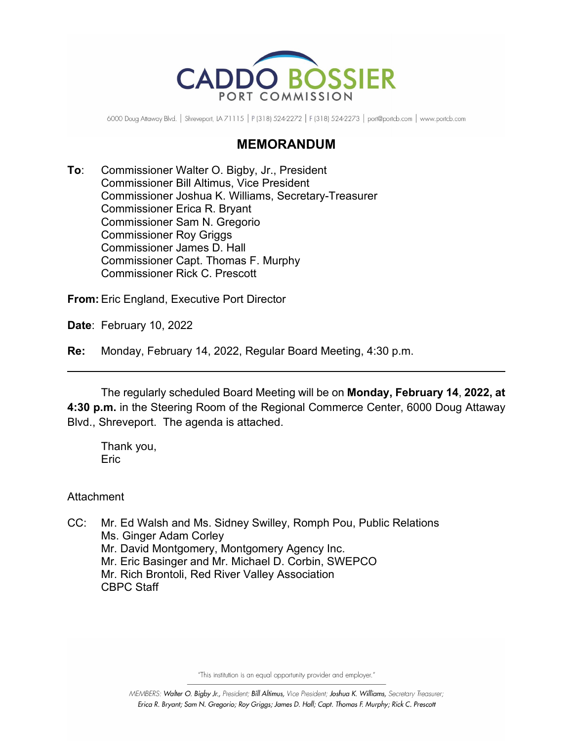

6000 Doug Attaway Blvd. | Shreveport, LA 71115 | P (318) 524-2272 | F (318) 524-2273 | port@portcb.com | www.portcb.com

## **MEMORANDUM**

**To**: Commissioner Walter O. Bigby, Jr., President Commissioner Bill Altimus, Vice President Commissioner Joshua K. Williams, Secretary-Treasurer Commissioner Erica R. Bryant Commissioner Sam N. Gregorio Commissioner Roy Griggs Commissioner James D. Hall Commissioner Capt. Thomas F. Murphy Commissioner Rick C. Prescott

**From:** Eric England, Executive Port Director

**Date**: February 10, 2022

**Re:** Monday, February 14, 2022, Regular Board Meeting, 4:30 p.m.

The regularly scheduled Board Meeting will be on **Monday, February 14**, **2022, at 4:30 p.m.** in the Steering Room of the Regional Commerce Center, 6000 Doug Attaway Blvd., Shreveport. The agenda is attached.

Thank you, **Eric** 

Attachment

CC: Mr. Ed Walsh and Ms. Sidney Swilley, Romph Pou, Public Relations Ms. Ginger Adam Corley Mr. David Montgomery, Montgomery Agency Inc. Mr. Eric Basinger and Mr. Michael D. Corbin, SWEPCO Mr. Rich Brontoli, Red River Valley Association CBPC Staff

"This institution is an equal opportunity provider and employer."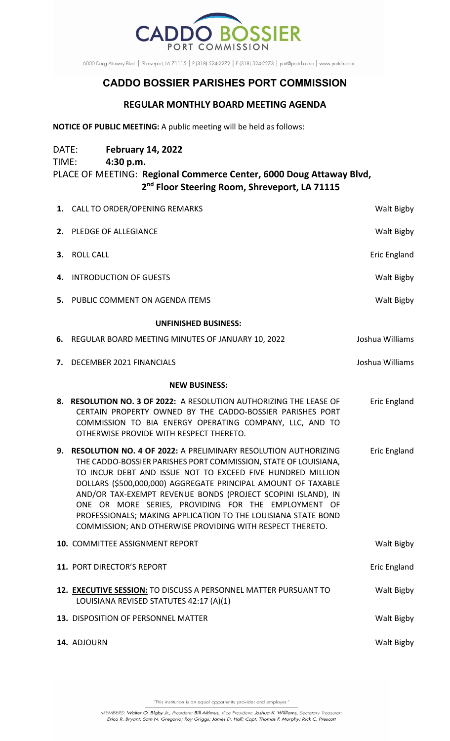

6000 Doug Attaway Blvd. | Shreveport, LA 71115 | P (318) 524-2272 | F (318) 524-2273 | port@portcb.com | www.portcb.com

## **CADDO BOSSIER PARISHES PORT COMMISSION**

## **REGULAR MONTHLY BOARD MEETING AGENDA**

**NOTICE OF PUBLIC MEETING:** A public meeting will be held as follows:

DATE: **February 14, 2022** TIME: **4:30 p.m.** PLACE OF MEETING: **Regional Commerce Center, 6000 Doug Attaway Blvd, 2nd Floor Steering Room, Shreveport, LA 71115**

|                             | 1. CALL TO ORDER/OPENING REMARKS                                                                                                                                                                                                                                                                                                                                                                                                                                                                                      | Walt Bigby          |
|-----------------------------|-----------------------------------------------------------------------------------------------------------------------------------------------------------------------------------------------------------------------------------------------------------------------------------------------------------------------------------------------------------------------------------------------------------------------------------------------------------------------------------------------------------------------|---------------------|
|                             | 2. PLEDGE OF ALLEGIANCE                                                                                                                                                                                                                                                                                                                                                                                                                                                                                               | Walt Bigby          |
|                             | 3. ROLL CALL                                                                                                                                                                                                                                                                                                                                                                                                                                                                                                          | <b>Eric England</b> |
|                             | 4. INTRODUCTION OF GUESTS                                                                                                                                                                                                                                                                                                                                                                                                                                                                                             | Walt Bigby          |
|                             | 5. PUBLIC COMMENT ON AGENDA ITEMS                                                                                                                                                                                                                                                                                                                                                                                                                                                                                     | Walt Bigby          |
| <b>UNFINISHED BUSINESS:</b> |                                                                                                                                                                                                                                                                                                                                                                                                                                                                                                                       |                     |
| 6.                          | REGULAR BOARD MEETING MINUTES OF JANUARY 10, 2022                                                                                                                                                                                                                                                                                                                                                                                                                                                                     | Joshua Williams     |
|                             | 7. DECEMBER 2021 FINANCIALS                                                                                                                                                                                                                                                                                                                                                                                                                                                                                           | Joshua Williams     |
| <b>NEW BUSINESS:</b>        |                                                                                                                                                                                                                                                                                                                                                                                                                                                                                                                       |                     |
|                             | 8. RESOLUTION NO. 3 OF 2022: A RESOLUTION AUTHORIZING THE LEASE OF<br>CERTAIN PROPERTY OWNED BY THE CADDO-BOSSIER PARISHES PORT<br>COMMISSION TO BIA ENERGY OPERATING COMPANY, LLC, AND TO<br>OTHERWISE PROVIDE WITH RESPECT THERETO.                                                                                                                                                                                                                                                                                 | Eric England        |
| 9.                          | RESOLUTION NO. 4 OF 2022: A PRELIMINARY RESOLUTION AUTHORIZING<br>THE CADDO-BOSSIER PARISHES PORT COMMISSION, STATE OF LOUISIANA,<br>TO INCUR DEBT AND ISSUE NOT TO EXCEED FIVE HUNDRED MILLION<br>DOLLARS (\$500,000,000) AGGREGATE PRINCIPAL AMOUNT OF TAXABLE<br>AND/OR TAX-EXEMPT REVENUE BONDS (PROJECT SCOPINI ISLAND), IN<br>ONE OR MORE SERIES, PROVIDING FOR THE EMPLOYMENT OF<br>PROFESSIONALS; MAKING APPLICATION TO THE LOUISIANA STATE BOND<br>COMMISSION; AND OTHERWISE PROVIDING WITH RESPECT THERETO. | Eric England        |
|                             | <b>10. COMMITTEE ASSIGNMENT REPORT</b>                                                                                                                                                                                                                                                                                                                                                                                                                                                                                | Walt Bigby          |
|                             | 11. PORT DIRECTOR'S REPORT                                                                                                                                                                                                                                                                                                                                                                                                                                                                                            | Eric England        |
|                             | 12. EXECUTIVE SESSION: TO DISCUSS A PERSONNEL MATTER PURSUANT TO<br>LOUISIANA REVISED STATUTES 42:17 (A)(1)                                                                                                                                                                                                                                                                                                                                                                                                           | Walt Bigby          |
|                             | 13. DISPOSITION OF PERSONNEL MATTER                                                                                                                                                                                                                                                                                                                                                                                                                                                                                   | Walt Bigby          |
|                             | 14. ADJOURN                                                                                                                                                                                                                                                                                                                                                                                                                                                                                                           | Walt Bigby          |